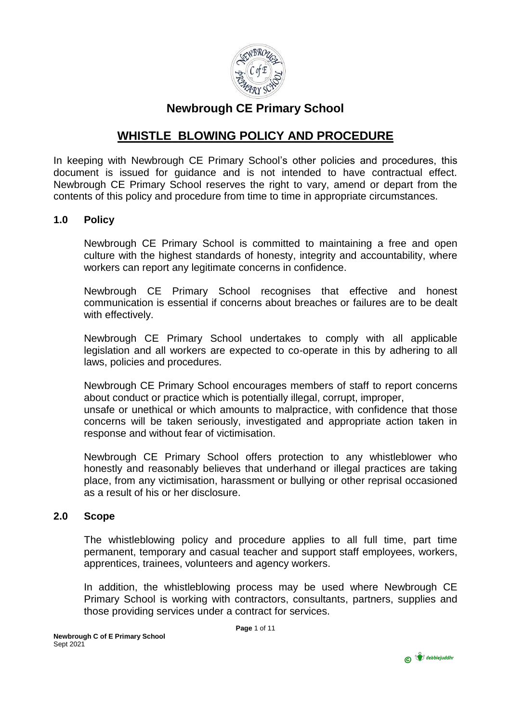

# **Newbrough CE Primary School**

# **WHISTLE BLOWING POLICY AND PROCEDURE**

In keeping with Newbrough CE Primary School's other policies and procedures, this document is issued for guidance and is not intended to have contractual effect. Newbrough CE Primary School reserves the right to vary, amend or depart from the contents of this policy and procedure from time to time in appropriate circumstances.

#### **1.0 Policy**

Newbrough CE Primary School is committed to maintaining a free and open culture with the highest standards of honesty, integrity and accountability, where workers can report any legitimate concerns in confidence.

Newbrough CE Primary School recognises that effective and honest communication is essential if concerns about breaches or failures are to be dealt with effectively.

Newbrough CE Primary School undertakes to comply with all applicable legislation and all workers are expected to co-operate in this by adhering to all laws, policies and procedures.

Newbrough CE Primary School encourages members of staff to report concerns about conduct or practice which is potentially illegal, corrupt, improper, unsafe or unethical or which amounts to malpractice, with confidence that those

concerns will be taken seriously, investigated and appropriate action taken in response and without fear of victimisation.

Newbrough CE Primary School offers protection to any whistleblower who honestly and reasonably believes that underhand or illegal practices are taking place, from any victimisation, harassment or bullying or other reprisal occasioned as a result of his or her disclosure.

#### **2.0 Scope**

The whistleblowing policy and procedure applies to all full time, part time permanent, temporary and casual teacher and support staff employees, workers, apprentices, trainees, volunteers and agency workers.

In addition, the whistleblowing process may be used where Newbrough CE Primary School is working with contractors, consultants, partners, supplies and those providing services under a contract for services.

**Page** 1 of 11

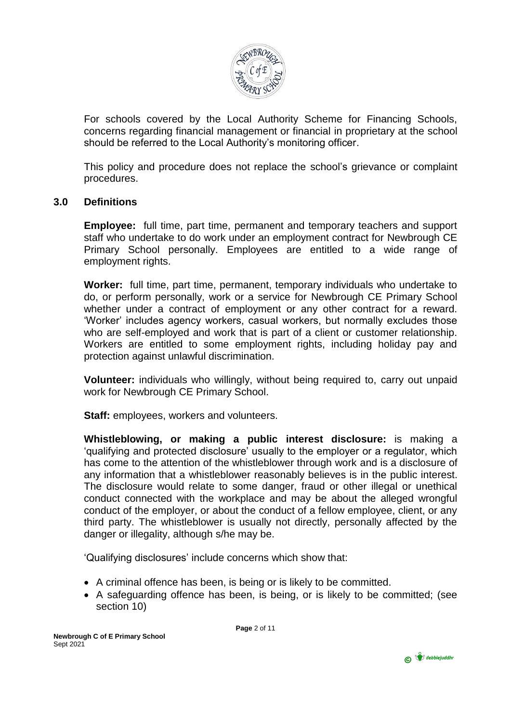

For schools covered by the Local Authority Scheme for Financing Schools, concerns regarding financial management or financial in proprietary at the school should be referred to the Local Authority's monitoring officer.

This policy and procedure does not replace the school's grievance or complaint procedures.

# **3.0 Definitions**

**Employee:** full time, part time, permanent and temporary teachers and support staff who undertake to do work under an employment contract for Newbrough CE Primary School personally. Employees are entitled to a wide range of employment rights.

**Worker:** full time, part time, permanent, temporary individuals who undertake to do, or perform personally, work or a service for Newbrough CE Primary School whether under a contract of employment or any other contract for a reward. 'Worker' includes agency workers, casual workers, but normally excludes those who are self-employed and work that is part of a client or customer relationship. Workers are entitled to some employment rights, including holiday pay and protection against unlawful discrimination.

**Volunteer:** individuals who willingly, without being required to, carry out unpaid work for Newbrough CE Primary School.

**Staff:** employees, workers and volunteers.

**Whistleblowing, or making a public interest disclosure:** is making a 'qualifying and protected disclosure' usually to the employer or a regulator, which has come to the attention of the whistleblower through work and is a disclosure of any information that a whistleblower reasonably believes is in the public interest. The disclosure would relate to some danger, fraud or other illegal or unethical conduct connected with the workplace and may be about the alleged wrongful conduct of the employer, or about the conduct of a fellow employee, client, or any third party. The whistleblower is usually not directly, personally affected by the danger or illegality, although s/he may be.

'Qualifying disclosures' include concerns which show that:

- A criminal offence has been, is being or is likely to be committed.
- A safeguarding offence has been, is being, or is likely to be committed; (see section 10)

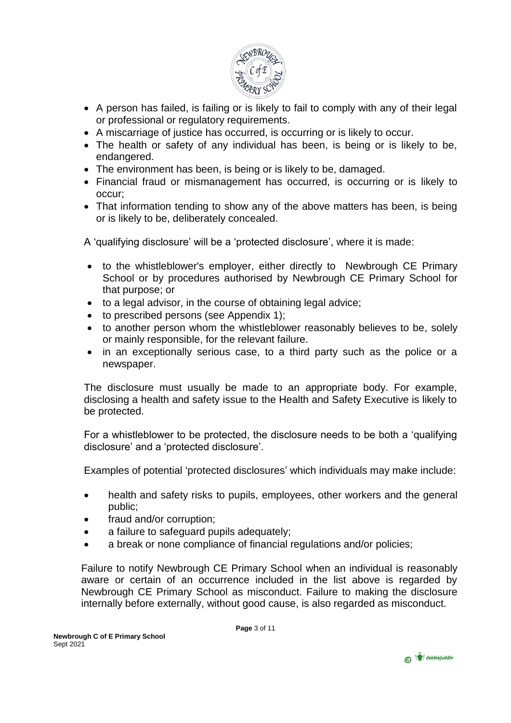

- A person has failed, is failing or is likely to fail to comply with any of their legal or professional or regulatory requirements.
- A miscarriage of justice has occurred, is occurring or is likely to occur.
- The health or safety of any individual has been, is being or is likely to be, endangered.
- The environment has been, is being or is likely to be, damaged.
- Financial fraud or mismanagement has occurred, is occurring or is likely to occur;
- That information tending to show any of the above matters has been, is being or is likely to be, deliberately concealed.

A 'qualifying disclosure' will be a 'protected disclosure', where it is made:

- to the whistleblower's employer, either directly to Newbrough CE Primary School or by procedures authorised by Newbrough CE Primary School for that purpose; or
- to a legal advisor, in the course of obtaining legal advice;
- to prescribed persons (see Appendix 1);
- to another person whom the whistleblower reasonably believes to be, solely or mainly responsible, for the relevant failure.
- in an exceptionally serious case, to a third party such as the police or a newspaper.

The disclosure must usually be made to an appropriate body. For example, disclosing a health and safety issue to the Health and Safety Executive is likely to be protected.

For a whistleblower to be protected, the disclosure needs to be both a 'qualifying disclosure' and a 'protected disclosure'.

Examples of potential 'protected disclosures' which individuals may make include:

- health and safety risks to pupils, employees, other workers and the general public;
- fraud and/or corruption;
- a failure to safeguard pupils adequately;
- a break or none compliance of financial regulations and/or policies;

Failure to notify Newbrough CE Primary School when an individual is reasonably aware or certain of an occurrence included in the list above is regarded by Newbrough CE Primary School as misconduct. Failure to making the disclosure internally before externally, without good cause, is also regarded as misconduct.

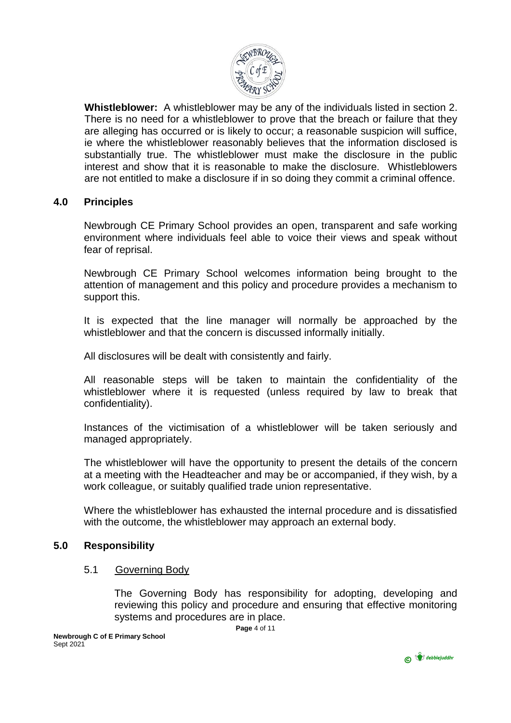

**Whistleblower:** A whistleblower may be any of the individuals listed in section 2. There is no need for a whistleblower to prove that the breach or failure that they are alleging has occurred or is likely to occur; a reasonable suspicion will suffice, ie where the whistleblower reasonably believes that the information disclosed is substantially true. The whistleblower must make the disclosure in the public interest and show that it is reasonable to make the disclosure. Whistleblowers are not entitled to make a disclosure if in so doing they commit a criminal offence.

# **4.0 Principles**

Newbrough CE Primary School provides an open, transparent and safe working environment where individuals feel able to voice their views and speak without fear of reprisal.

Newbrough CE Primary School welcomes information being brought to the attention of management and this policy and procedure provides a mechanism to support this.

It is expected that the line manager will normally be approached by the whistleblower and that the concern is discussed informally initially.

All disclosures will be dealt with consistently and fairly.

All reasonable steps will be taken to maintain the confidentiality of the whistleblower where it is requested (unless required by law to break that confidentiality).

Instances of the victimisation of a whistleblower will be taken seriously and managed appropriately.

The whistleblower will have the opportunity to present the details of the concern at a meeting with the Headteacher and may be or accompanied, if they wish, by a work colleague, or suitably qualified trade union representative.

Where the whistleblower has exhausted the internal procedure and is dissatisfied with the outcome, the whistleblower may approach an external body.

# **5.0 Responsibility**

#### 5.1 Governing Body

The Governing Body has responsibility for adopting, developing and reviewing this policy and procedure and ensuring that effective monitoring systems and procedures are in place.

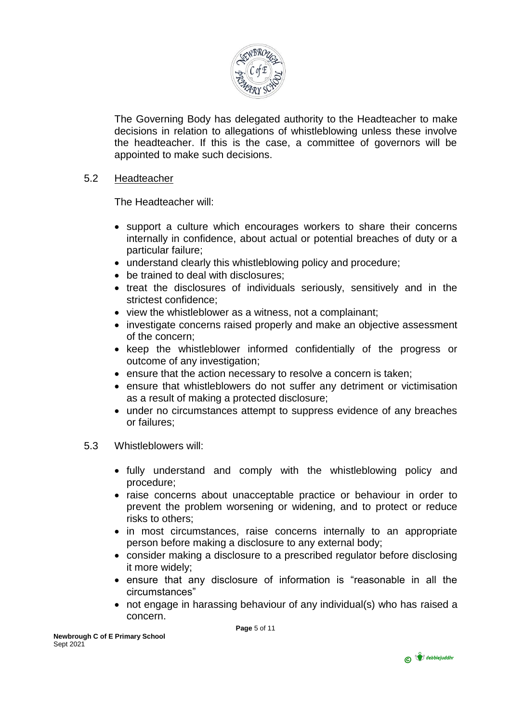

The Governing Body has delegated authority to the Headteacher to make decisions in relation to allegations of whistleblowing unless these involve the headteacher. If this is the case, a committee of governors will be appointed to make such decisions.

### 5.2 Headteacher

The Headteacher will:

- support a culture which encourages workers to share their concerns internally in confidence, about actual or potential breaches of duty or a particular failure;
- understand clearly this whistleblowing policy and procedure;
- be trained to deal with disclosures:
- treat the disclosures of individuals seriously, sensitively and in the strictest confidence;
- view the whistleblower as a witness, not a complainant;
- investigate concerns raised properly and make an objective assessment of the concern;
- keep the whistleblower informed confidentially of the progress or outcome of any investigation;
- **e** ensure that the action necessary to resolve a concern is taken;
- ensure that whistleblowers do not suffer any detriment or victimisation as a result of making a protected disclosure;
- under no circumstances attempt to suppress evidence of any breaches or failures;

# 5.3 Whistleblowers will:

- fully understand and comply with the whistleblowing policy and procedure;
- raise concerns about unacceptable practice or behaviour in order to prevent the problem worsening or widening, and to protect or reduce risks to others;
- in most circumstances, raise concerns internally to an appropriate person before making a disclosure to any external body;
- consider making a disclosure to a prescribed regulator before disclosing it more widely;
- ensure that any disclosure of information is "reasonable in all the circumstances"
- not engage in harassing behaviour of any individual(s) who has raised a concern.

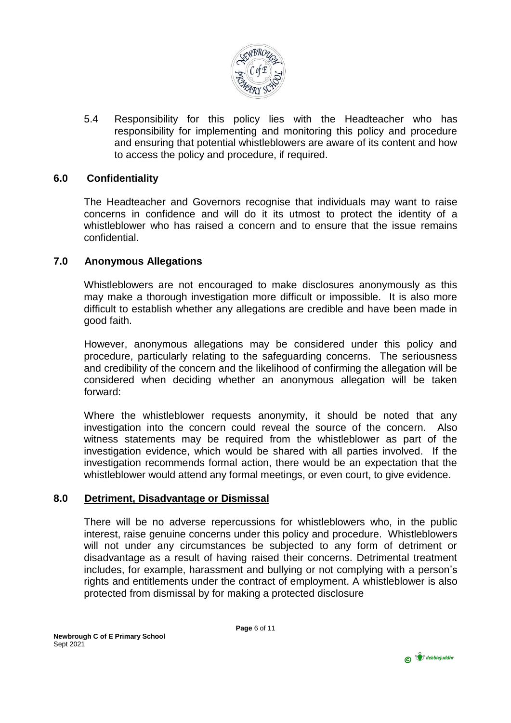

5.4 Responsibility for this policy lies with the Headteacher who has responsibility for implementing and monitoring this policy and procedure and ensuring that potential whistleblowers are aware of its content and how to access the policy and procedure, if required.

# **6.0 Confidentiality**

The Headteacher and Governors recognise that individuals may want to raise concerns in confidence and will do it its utmost to protect the identity of a whistleblower who has raised a concern and to ensure that the issue remains confidential.

# **7.0 Anonymous Allegations**

Whistleblowers are not encouraged to make disclosures anonymously as this may make a thorough investigation more difficult or impossible. It is also more difficult to establish whether any allegations are credible and have been made in good faith.

However, anonymous allegations may be considered under this policy and procedure, particularly relating to the safeguarding concerns. The seriousness and credibility of the concern and the likelihood of confirming the allegation will be considered when deciding whether an anonymous allegation will be taken forward:

Where the whistleblower requests anonymity, it should be noted that any investigation into the concern could reveal the source of the concern. Also witness statements may be required from the whistleblower as part of the investigation evidence, which would be shared with all parties involved. If the investigation recommends formal action, there would be an expectation that the whistleblower would attend any formal meetings, or even court, to give evidence.

# **8.0 Detriment, Disadvantage or Dismissal**

There will be no adverse repercussions for whistleblowers who, in the public interest, raise genuine concerns under this policy and procedure. Whistleblowers will not under any circumstances be subjected to any form of detriment or disadvantage as a result of having raised their concerns. Detrimental treatment includes, for example, harassment and bullying or not complying with a person's rights and entitlements under the contract of employment. A whistleblower is also protected from dismissal by for making a protected disclosure

**Page** 6 of 11

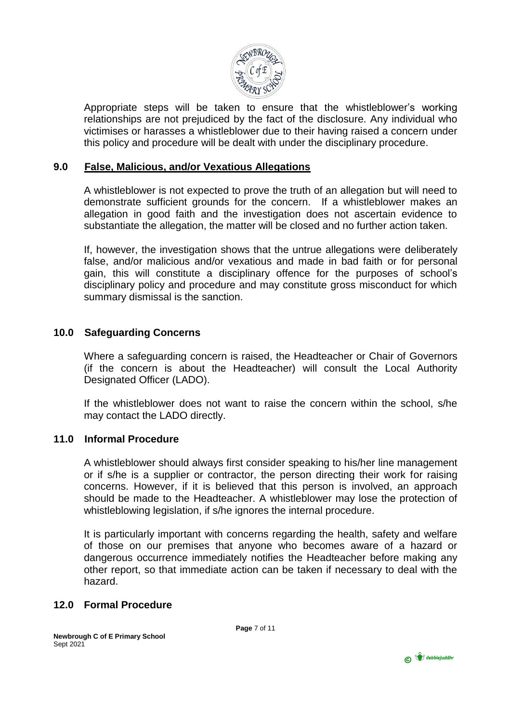

Appropriate steps will be taken to ensure that the whistleblower's working relationships are not prejudiced by the fact of the disclosure. Any individual who victimises or harasses a whistleblower due to their having raised a concern under this policy and procedure will be dealt with under the disciplinary procedure.

# **9.0 False, Malicious, and/or Vexatious Allegations**

A whistleblower is not expected to prove the truth of an allegation but will need to demonstrate sufficient grounds for the concern. If a whistleblower makes an allegation in good faith and the investigation does not ascertain evidence to substantiate the allegation, the matter will be closed and no further action taken.

If, however, the investigation shows that the untrue allegations were deliberately false, and/or malicious and/or vexatious and made in bad faith or for personal gain, this will constitute a disciplinary offence for the purposes of school's disciplinary policy and procedure and may constitute gross misconduct for which summary dismissal is the sanction.

#### **10.0 Safeguarding Concerns**

Where a safeguarding concern is raised, the Headteacher or Chair of Governors (if the concern is about the Headteacher) will consult the Local Authority Designated Officer (LADO).

If the whistleblower does not want to raise the concern within the school, s/he may contact the LADO directly.

# **11.0 Informal Procedure**

A whistleblower should always first consider speaking to his/her line management or if s/he is a supplier or contractor, the person directing their work for raising concerns. However, if it is believed that this person is involved, an approach should be made to the Headteacher. A whistleblower may lose the protection of whistleblowing legislation, if s/he ignores the internal procedure.

It is particularly important with concerns regarding the health, safety and welfare of those on our premises that anyone who becomes aware of a hazard or dangerous occurrence immediately notifies the Headteacher before making any other report, so that immediate action can be taken if necessary to deal with the hazard.

# **12.0 Formal Procedure**

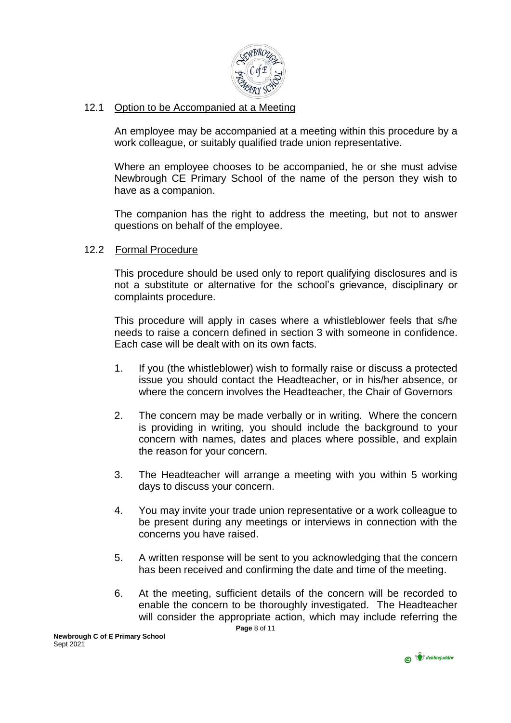

# 12.1 Option to be Accompanied at a Meeting

An employee may be accompanied at a meeting within this procedure by a work colleague, or suitably qualified trade union representative.

Where an employee chooses to be accompanied, he or she must advise Newbrough CE Primary School of the name of the person they wish to have as a companion.

The companion has the right to address the meeting, but not to answer questions on behalf of the employee.

# 12.2 Formal Procedure

This procedure should be used only to report qualifying disclosures and is not a substitute or alternative for the school's grievance, disciplinary or complaints procedure.

This procedure will apply in cases where a whistleblower feels that s/he needs to raise a concern defined in section 3 with someone in confidence. Each case will be dealt with on its own facts.

- 1. If you (the whistleblower) wish to formally raise or discuss a protected issue you should contact the Headteacher, or in his/her absence, or where the concern involves the Headteacher, the Chair of Governors
- 2. The concern may be made verbally or in writing. Where the concern is providing in writing, you should include the background to your concern with names, dates and places where possible, and explain the reason for your concern.
- 3. The Headteacher will arrange a meeting with you within 5 working days to discuss your concern.
- 4. You may invite your trade union representative or a work colleague to be present during any meetings or interviews in connection with the concerns you have raised.
- 5. A written response will be sent to you acknowledging that the concern has been received and confirming the date and time of the meeting.
- **Page** 8 of 11 6. At the meeting, sufficient details of the concern will be recorded to enable the concern to be thoroughly investigated. The Headteacher will consider the appropriate action, which may include referring the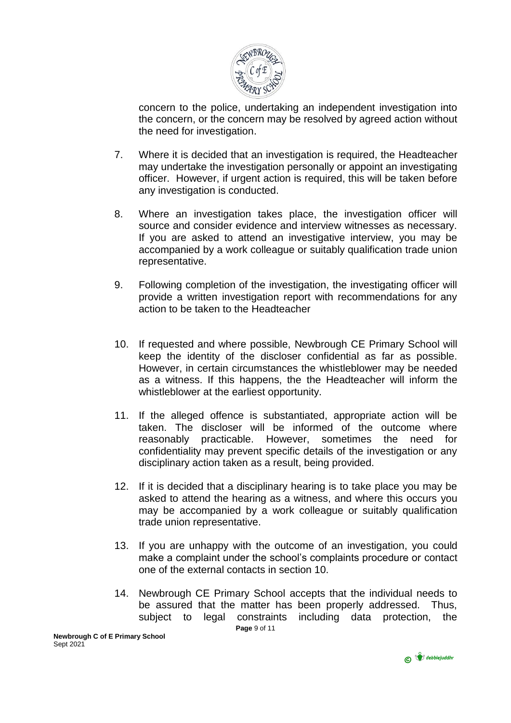

concern to the police, undertaking an independent investigation into the concern, or the concern may be resolved by agreed action without the need for investigation.

- 7. Where it is decided that an investigation is required, the Headteacher may undertake the investigation personally or appoint an investigating officer. However, if urgent action is required, this will be taken before any investigation is conducted.
- 8. Where an investigation takes place, the investigation officer will source and consider evidence and interview witnesses as necessary. If you are asked to attend an investigative interview, you may be accompanied by a work colleague or suitably qualification trade union representative.
- 9. Following completion of the investigation, the investigating officer will provide a written investigation report with recommendations for any action to be taken to the Headteacher
- 10. If requested and where possible, Newbrough CE Primary School will keep the identity of the discloser confidential as far as possible. However, in certain circumstances the whistleblower may be needed as a witness. If this happens, the the Headteacher will inform the whistleblower at the earliest opportunity.
- 11. If the alleged offence is substantiated, appropriate action will be taken. The discloser will be informed of the outcome where reasonably practicable. However, sometimes the need for confidentiality may prevent specific details of the investigation or any disciplinary action taken as a result, being provided.
- 12. If it is decided that a disciplinary hearing is to take place you may be asked to attend the hearing as a witness, and where this occurs you may be accompanied by a work colleague or suitably qualification trade union representative.
- 13. If you are unhappy with the outcome of an investigation, you could make a complaint under the school's complaints procedure or contact one of the external contacts in section 10.
- **Page** 9 of 11 14. Newbrough CE Primary School accepts that the individual needs to be assured that the matter has been properly addressed. Thus, subject to legal constraints including data protection, the

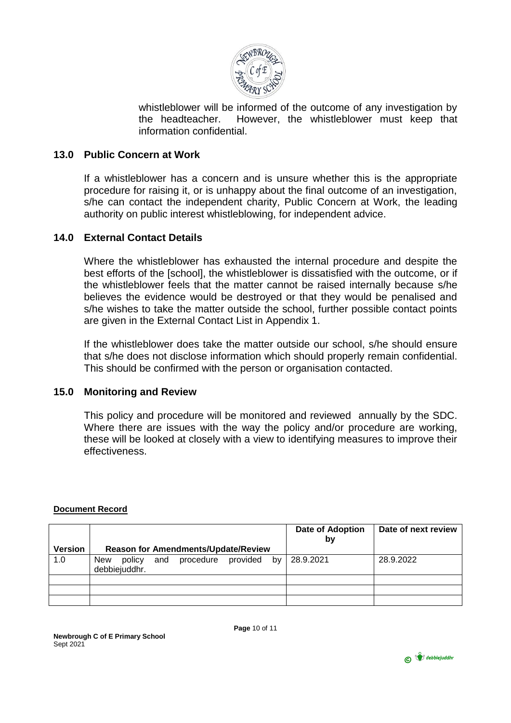

whistleblower will be informed of the outcome of any investigation by the headteacher. However, the whistleblower must keep that information confidential.

### **13.0 Public Concern at Work**

If a whistleblower has a concern and is unsure whether this is the appropriate procedure for raising it, or is unhappy about the final outcome of an investigation, s/he can contact the independent charity, Public Concern at Work, the leading authority on public interest whistleblowing, for independent advice.

#### **14.0 External Contact Details**

Where the whistleblower has exhausted the internal procedure and despite the best efforts of the [school], the whistleblower is dissatisfied with the outcome, or if the whistleblower feels that the matter cannot be raised internally because s/he believes the evidence would be destroyed or that they would be penalised and s/he wishes to take the matter outside the school, further possible contact points are given in the External Contact List in Appendix 1.

If the whistleblower does take the matter outside our school, s/he should ensure that s/he does not disclose information which should properly remain confidential. This should be confirmed with the person or organisation contacted.

#### **15.0 Monitoring and Review**

This policy and procedure will be monitored and reviewed annually by the SDC. Where there are issues with the way the policy and/or procedure are working, these will be looked at closely with a view to identifying measures to improve their effectiveness.

#### **Document Record**

|                |                                                                      | <b>Date of Adoption</b><br>by | Date of next review |
|----------------|----------------------------------------------------------------------|-------------------------------|---------------------|
| <b>Version</b> | <b>Reason for Amendments/Update/Review</b>                           |                               |                     |
| 1.0            | provided<br>bv<br>and<br>procedure<br>policy<br>New<br>debbiejuddhr. | 28.9.2021                     | 28.9.2022           |
|                |                                                                      |                               |                     |
|                |                                                                      |                               |                     |
|                |                                                                      |                               |                     |